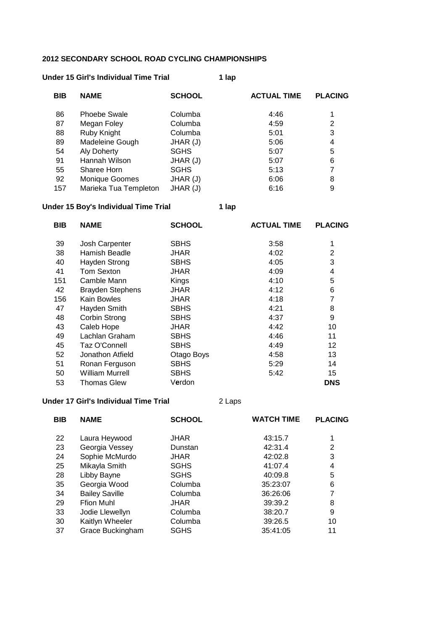### **2012 SECONDARY SCHOOL ROAD CYCLING CHAMPIONSHIPS**

#### **Under 15 Girl's Individual Time Trial 1 lap**

| <b>BIB</b> | <b>NAME</b>           | <b>SCHOOL</b> | <b>ACTUAL TIME</b> | <b>PLACING</b> |
|------------|-----------------------|---------------|--------------------|----------------|
| 86         | <b>Phoebe Swale</b>   | Columba       | 4:46               | 1              |
| 87         | Megan Foley           | Columba       | 4:59               | $\overline{2}$ |
| 88         | Ruby Knight           | Columba       | 5:01               | 3              |
| 89         | Madeleine Gough       | JHAR (J)      | 5:06               | 4              |
| 54         | <b>Aly Doherty</b>    | <b>SGHS</b>   | 5:07               | 5              |
| 91         | Hannah Wilson         | JHAR (J)      | 5:07               | 6              |
| 55         | Sharee Horn           | <b>SGHS</b>   | 5:13               | 7              |
| 92         | <b>Monique Goomes</b> | JHAR (J)      | 6:06               | 8              |
| 157        | Marieka Tua Templeton | JHAR (J)      | 6:16               | 9              |
|            |                       |               |                    |                |

# **Under 15 Boy's Individual Time Trial 1 lap**

| BIB | <b>NAME</b>             | <b>SCHOOL</b> | <b>ACTUAL TIME</b> | <b>PLACING</b> |
|-----|-------------------------|---------------|--------------------|----------------|
| 39  | Josh Carpenter          | <b>SBHS</b>   | 3:58               | 1              |
| 38  | Hamish Beadle           | <b>JHAR</b>   | 4:02               | 2              |
| 40  | Hayden Strong           | <b>SBHS</b>   | 4:05               | 3              |
| 41  | Tom Sexton              | <b>JHAR</b>   | 4:09               | 4              |
| 151 | Camble Mann             | Kings         | 4:10               | 5              |
| 42  | <b>Brayden Stephens</b> | JHAR          | 4:12               | 6              |
| 156 | Kain Bowles             | <b>JHAR</b>   | 4:18               | 7              |
| 47  | Hayden Smith            | <b>SBHS</b>   | 4:21               | 8              |
| 48  | Corbin Strong           | <b>SBHS</b>   | 4:37               | 9              |
| 43  | Caleb Hope              | <b>JHAR</b>   | 4:42               | 10             |
| 49  | Lachlan Graham          | <b>SBHS</b>   | 4:46               | 11             |
| 45  | Taz O'Connell           | <b>SBHS</b>   | 4:49               | 12             |
| 52  | Jonathon Atfield        | Otago Boys    | 4:58               | 13             |
| 51  | Ronan Ferguson          | <b>SBHS</b>   | 5:29               | 14             |
| 50  | <b>William Murrell</b>  | <b>SBHS</b>   | 5:42               | 15             |
| 53  | <b>Thomas Glew</b>      | Verdon        |                    | <b>DNS</b>     |
|     |                         |               |                    |                |

### **Under 17 Girl's Individual Time Trial** 2 Laps

| <b>BIB</b> | <b>NAME</b>             | <b>SCHOOL</b> | <b>WATCH TIME</b> | <b>PLACING</b> |
|------------|-------------------------|---------------|-------------------|----------------|
| 22         | Laura Heywood           | JHAR          | 43:15.7           | 1              |
| 23         | Georgia Vessey          | Dunstan       | 42:31.4           | 2              |
| 24         | Sophie McMurdo          | JHAR          | 42:02.8           | 3              |
| 25         | Mikayla Smith           | <b>SGHS</b>   | 41:07.4           | 4              |
| 28         | Libby Bayne             | <b>SGHS</b>   | 40:09.8           | 5              |
| 35         | Georgia Wood            | Columba       | 35:23:07          | 6              |
| 34         | <b>Bailey Saville</b>   | Columba       | 36:26:06          | 7              |
| 29         | <b>Ffion Muhl</b>       | JHAR          | 39:39.2           | 8              |
| 33         | Jodie Llewellyn         | Columba       | 38:20.7           | 9              |
| 30         | Kaitlyn Wheeler         | Columba       | 39:26.5           | 10             |
| 37         | <b>Grace Buckingham</b> | <b>SGHS</b>   | 35:41:05          | 11             |
|            |                         |               |                   |                |